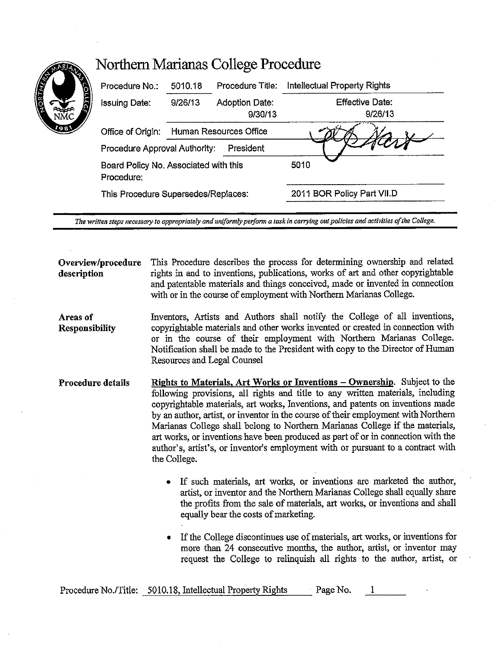| Procedure No.:                                      | 5010.18                             | Procedure Title:                 | Intellectual Property Rights |
|-----------------------------------------------------|-------------------------------------|----------------------------------|------------------------------|
| Issuing Date:                                       | 9/26/13                             | <b>Adoption Date:</b><br>9/30/13 | Effective Date:<br>9/26/13   |
| Office of Origin:                                   | Human Resources Office              |                                  |                              |
| Procedure Approval Authority:                       |                                     | President                        |                              |
| Board Policy No. Associated with this<br>Procedure: |                                     |                                  | 5010                         |
|                                                     | This Procedure Supersedes/Replaces: |                                  | 2011 BOR Policy Part VII.D   |

*The wrirten steps necessary to appropriately and uniformly perform a task in carrying out policies and activities of the College.* 

**Overview/procedure description**  This Procedure describes the process for determining ownership and related rights in and to inventions, publications, works of art and other copyrightable and patentable materials and things conceived, made or invented in connection with or in the course of employment with Northern Marianas College.

**Areas of Responsibility**  Inventors, Artists and Authors shall notify the College of all inventions, copyrightable materials and other works invented or created in connection with or in the course of their employment with Northern Marianas College. Notification shall be made to the President with copy to the Director of Human Resources and Legal Counsel

**Procedure details**  Rights to Materials, Art Works or Inventions - Ownership. Subject to the following provisions, all rights and title to any written materials, including copyrightable materials, art works, Inventions, and patents on inventions made by an author, artist, or inventor in the course of their employment with Northern Marianas College shall belong to Northern Marianas College if the materials, art works, or inventions have been produced as part of or in connection with the author's, artist's, or inventor's employment with or pursuant to a contract with the College.

- If such materials, art works, or inventions are marketed the author, artist, or inventor and the Northern Marianas College shall equally share the profits from the sale of materials, art works, or inventions and shall equally bear the costs of marketing.
- If the College discontinues use of materials, art works, or inventions for more than 24 consecutive months, the author, artist, or inventor may request the College to relinquish all rights to the author, artist, or

Procedure No./Title: 5010.18, Intellectual Property Rights Page No.